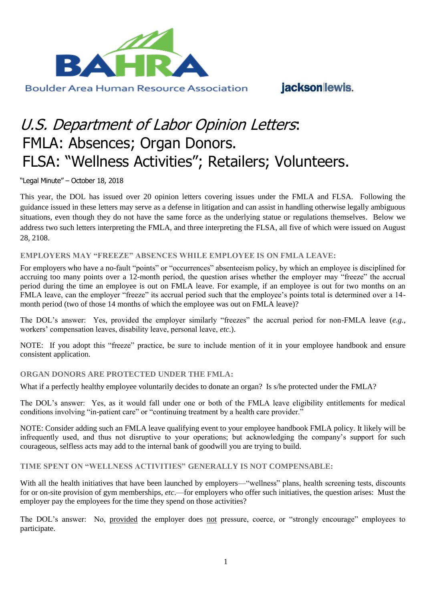

jacksonlewis.

# U.S. Department of Labor Opinion Letters: FMLA: Absences; Organ Donors. FLSA: "Wellness Activities"; Retailers; Volunteers.

"Legal Minute" – October 18, 2018

This year, the DOL has issued over 20 opinion letters covering issues under the FMLA and FLSA. Following the guidance issued in these letters may serve as a defense in litigation and can assist in handling otherwise legally ambiguous situations, even though they do not have the same force as the underlying statue or regulations themselves. Below we address two such letters interpreting the FMLA, and three interpreting the FLSA, all five of which were issued on August 28, 2108.

### **EMPLOYERS MAY "FREEZE" ABSENCES WHILE EMPLOYEE IS ON FMLA LEAVE:**

For employers who have a no-fault "points" or "occurrences" absenteeism policy, by which an employee is disciplined for accruing too many points over a 12-month period, the question arises whether the employer may "freeze" the accrual period during the time an employee is out on FMLA leave. For example, if an employee is out for two months on an FMLA leave, can the employer "freeze" its accrual period such that the employee's points total is determined over a 14month period (two of those 14 months of which the employee was out on FMLA leave)?

The DOL's answer: Yes, provided the employer similarly "freezes" the accrual period for non-FMLA leave (*e.g.*, workers' compensation leaves, disability leave, personal leave, *etc*.).

NOTE: If you adopt this "freeze" practice, be sure to include mention of it in your employee handbook and ensure consistent application.

### **ORGAN DONORS ARE PROTECTED UNDER THE FMLA:**

What if a perfectly healthy employee voluntarily decides to donate an organ? Is s/he protected under the FMLA?

The DOL's answer: Yes, as it would fall under one or both of the FMLA leave eligibility entitlements for medical conditions involving "in-patient care" or "continuing treatment by a health care provider."

NOTE: Consider adding such an FMLA leave qualifying event to your employee handbook FMLA policy. It likely will be infrequently used, and thus not disruptive to your operations; but acknowledging the company's support for such courageous, selfless acts may add to the internal bank of goodwill you are trying to build.

**TIME SPENT ON "WELLNESS ACTIVITIES" GENERALLY IS NOT COMPENSABLE:**

With all the health initiatives that have been launched by employers—"wellness" plans, health screening tests, discounts for or on-site provision of gym memberships, *etc*.—for employers who offer such initiatives, the question arises: Must the employer pay the employees for the time they spend on those activities?

The DOL's answer: No, provided the employer does not pressure, coerce, or "strongly encourage" employees to participate.